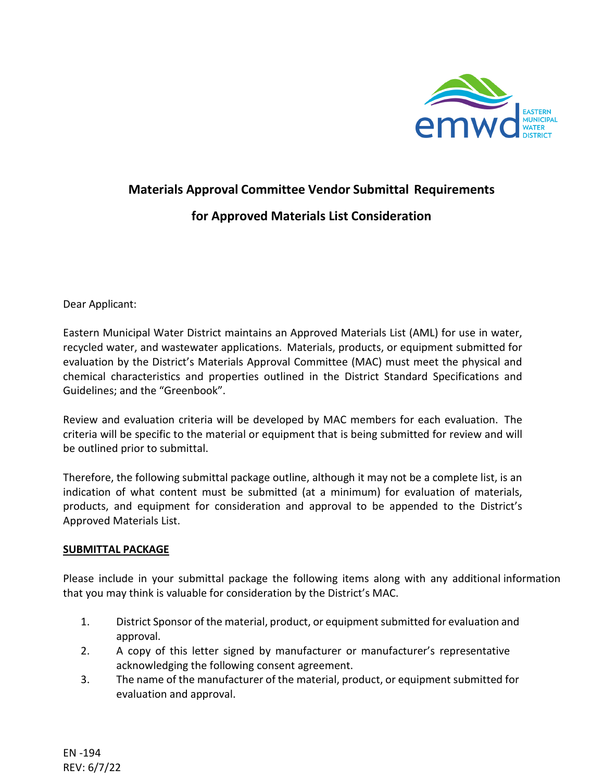

## **Materials Approval Committee Vendor Submittal Requirements for Approved Materials List Consideration**

Dear Applicant:

Eastern Municipal Water District maintains an Approved Materials List (AML) for use in water, recycled water, and wastewater applications. Materials, products, or equipment submitted for evaluation by the District's Materials Approval Committee (MAC) must meet the physical and chemical characteristics and properties outlined in the District Standard Specifications and Guidelines; and the "Greenbook".

Review and evaluation criteria will be developed by MAC members for each evaluation. The criteria will be specific to the material or equipment that is being submitted for review and will be outlined prior to submittal.

Therefore, the following submittal package outline, although it may not be a complete list, is an indication of what content must be submitted (at a minimum) for evaluation of materials, products, and equipment for consideration and approval to be appended to the District's Approved Materials List.

## **SUBMITTAL PACKAGE**

Please include in your submittal package the following items along with any additional information that you may think is valuable for consideration by the District's MAC.

- 1. District Sponsor of the material, product, or equipmentsubmitted for evaluation and approval.
- 2. A copy of this letter signed by manufacturer or manufacturer's representative acknowledging the following consent agreement.
- 3. The name of the manufacturer of the material, product, or equipment submitted for evaluation and approval.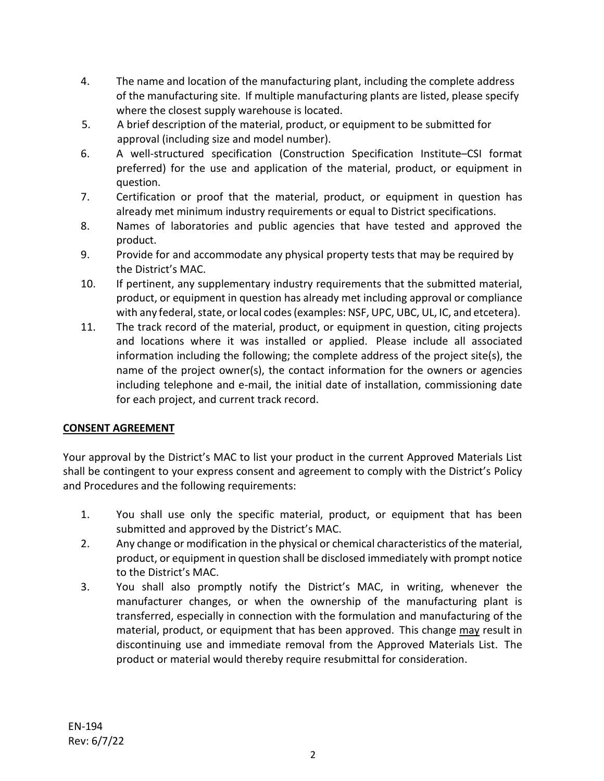- 4. The name and location of the manufacturing plant, including the complete address of the manufacturing site. If multiple manufacturing plants are listed, please specify where the closest supply warehouse is located.
- 5. A brief description of the material, product, or equipment to be submitted for approval (including size and model number).
- 6. A well-structured specification (Construction Specification Institute–CSI format preferred) for the use and application of the material, product, or equipment in question.
- 7. Certification or proof that the material, product, or equipment in question has already met minimum industry requirements or equal to District specifications.
- 8. Names of laboratories and public agencies that have tested and approved the product.
- 9. Provide for and accommodate any physical property tests that may be required by the District's MAC.
- 10. If pertinent, any supplementary industry requirements that the submitted material, product, or equipment in question has already met including approval or compliance with any federal, state, or local codes (examples: NSF, UPC, UBC, UL, IC, and etcetera).
- 11. The track record of the material, product, or equipment in question, citing projects and locations where it was installed or applied. Please include all associated information including the following; the complete address of the project site(s), the name of the project owner(s), the contact information for the owners or agencies including telephone and e-mail, the initial date of installation, commissioning date for each project, and current track record.

## **CONSENT AGREEMENT**

Your approval by the District's MAC to list your product in the current Approved Materials List shall be contingent to your express consent and agreement to comply with the District's Policy and Procedures and the following requirements:

- 1. You shall use only the specific material, product, or equipment that has been submitted and approved by the District's MAC.
- 2. Any change or modification in the physical or chemical characteristics of the material, product, or equipment in question shall be disclosed immediately with prompt notice to the District's MAC.
- 3. You shall also promptly notify the District's MAC, in writing, whenever the manufacturer changes, or when the ownership of the manufacturing plant is transferred, especially in connection with the formulation and manufacturing of the material, product, or equipment that has been approved. This change may result in discontinuing use and immediate removal from the Approved Materials List. The product or material would thereby require resubmittal for consideration.